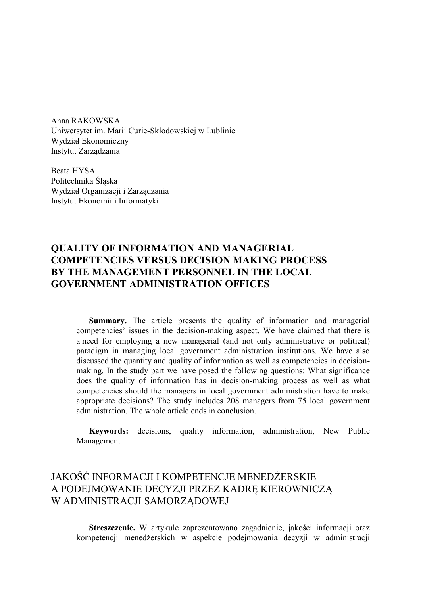Anna RAKOWSKA Uniwersytet im. Marii Curie-Skłodowskiej w Lublinie Wydział Ekonomiczny Instytut Zarządzania

Beata HYSA Politechnika Śląska Wydział Organizacji i Zarządzania Instytut Ekonomii i Informatyki

## **QUALITY OF INFORMATION AND MANAGERIAL COMPETENCIES VERSUS DECISION MAKING PROCESS BY THE MANAGEMENT PERSONNEL IN THE LOCAL GOVERNMENT ADMINISTRATION OFFICES**

**Summary.** The article presents the quality of information and managerial competencies' issues in the decision-making aspect. We have claimed that there is a need for employing a new managerial (and not only administrative or political) paradigm in managing local government administration institutions. We have also discussed the quantity and quality of information as well as competencies in decisionmaking. In the study part we have posed the following questions: What significance does the quality of information has in decision-making process as well as what competencies should the managers in local government administration have to make appropriate decisions? The study includes 208 managers from 75 local government administration. The whole article ends in conclusion.

**Keywords:** decisions, quality information, administration, New Public Management

# JAKOŚĆ INFORMACJI I KOMPETENCJE MENEDŻERSKIE A PODEJMOWANIE DECYZJI PRZEZ KADRĘ KIEROWNICZĄ W ADMINISTRACJI SAMORZĄDOWEJ

**Streszczenie.** W artykule zaprezentowano zagadnienie, jakości informacji oraz kompetencji menedżerskich w aspekcie podejmowania decyzji w administracji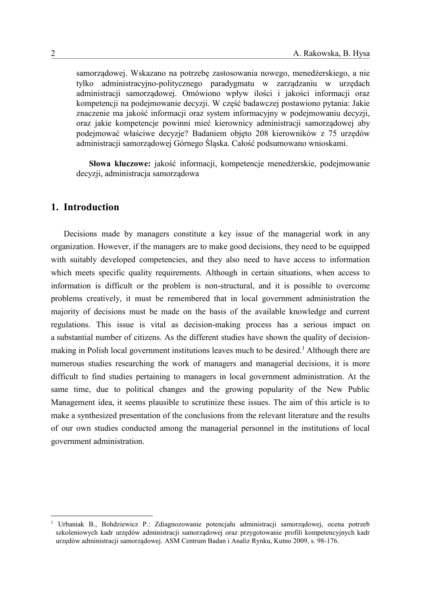samorządowej. Wskazano na potrzebę zastosowania nowego, menedżerskiego, a nie tylko administracyjno-politycznego paradygmatu w zarządzaniu w urzędach administracji samorządowej. Omówiono wpływ ilości i jakości informacji oraz kompetencji na podejmowanie decyzji. W część badawczej postawiono pytania: Jakie znaczenie ma jakość informacji oraz system informacyjny w podejmowaniu decyzji, oraz jakie kompetencje powinni mieć kierownicy administracji samorządowej aby podejmować właściwe decyzje? Badaniem objęto 208 kierowników z 75 urzędów administracji samorządowej Górnego Śląska. Całość podsumowano wnioskami.

**Słowa kluczowe:** jakość informacji, kompetencje menedżerskie, podejmowanie decyzji, administracja samorządowa

### **1. Introduction**

Decisions made by managers constitute a key issue of the managerial work in any organization. However, if the managers are to make good decisions, they need to be equipped with suitably developed competencies, and they also need to have access to information which meets specific quality requirements. Although in certain situations, when access to information is difficult or the problem is non-structural, and it is possible to overcome problems creatively, it must be remembered that in local government administration the majority of decisions must be made on the basis of the available knowledge and current regulations. This issue is vital as decision-making process has a serious impact on a substantial number of citizens. As the different studies have shown the quality of decisionmaking in Polish local government institutions leaves much to be desired.<sup>1</sup> Although there are numerous studies researching the work of managers and managerial decisions, it is more difficult to find studies pertaining to managers in local government administration. At the same time, due to political changes and the growing popularity of the New Public Management idea, it seems plausible to scrutinize these issues. The aim of this article is to make a synthesized presentation of the conclusions from the relevant literature and the results of our own studies conducted among the managerial personnel in the institutions of local government administration.

1

<sup>1</sup> Urbaniak B., Bohdziewicz P.: Zdiagnozowanie potencjału administracji samorządowej, ocena potrzeb szkoleniowych kadr urzędów administracji samorządowej oraz przygotowanie profili kompetencyjnych kadr urzędów administracji samorządowej. ASM Centrum Badan i Analiz Rynku, Kutno 2009, s. 98-176.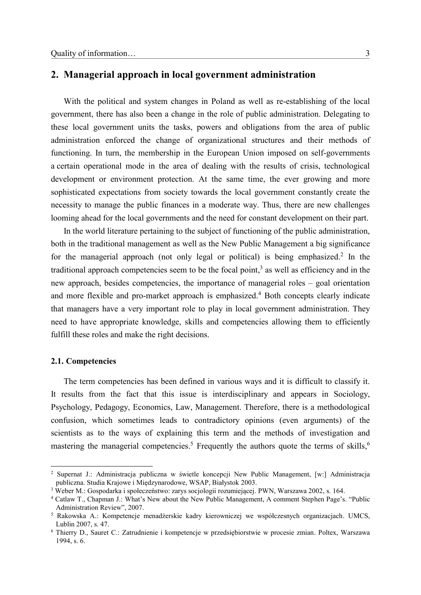## **2. Managerial approach in local government administration**

With the political and system changes in Poland as well as re-establishing of the local government, there has also been a change in the role of public administration. Delegating to these local government units the tasks, powers and obligations from the area of public administration enforced the change of organizational structures and their methods of functioning. In turn, the membership in the European Union imposed on self-governments a certain operational mode in the area of dealing with the results of crisis, technological development or environment protection. At the same time, the ever growing and more sophisticated expectations from society towards the local government constantly create the necessity to manage the public finances in a moderate way. Thus, there are new challenges looming ahead for the local governments and the need for constant development on their part.

In the world literature pertaining to the subject of functioning of the public administration, both in the traditional management as well as the New Public Management a big significance for the managerial approach (not only legal or political) is being emphasized.<sup>2</sup> In the traditional approach competencies seem to be the focal point, 3 as well as efficiency and in the new approach, besides competencies, the importance of managerial roles – goal orientation and more flexible and pro-market approach is emphasized. <sup>4</sup> Both concepts clearly indicate that managers have a very important role to play in local government administration. They need to have appropriate knowledge, skills and competencies allowing them to efficiently fulfill these roles and make the right decisions.

#### **2.1. Competencies**

1

The term competencies has been defined in various ways and it is difficult to classify it. It results from the fact that this issue is interdisciplinary and appears in Sociology, Psychology, Pedagogy, Economics, Law, Management. Therefore, there is a methodological confusion, which sometimes leads to contradictory opinions (even arguments) of the scientists as to the ways of explaining this term and the methods of investigation and mastering the managerial competencies.<sup>5</sup> Frequently the authors quote the terms of skills,<sup>6</sup>

<sup>2</sup> Supernat J.: Administracja publiczna w świetle koncepcji New Public Management, [w:] Administracja publiczna. Studia Krajowe i Międzynarodowe, WSAP, Białystok 2003.

<sup>3</sup> Weber M.: Gospodarka i społeczeństwo: zarys socjologii rozumiejącej. PWN, Warszawa 2002, s. 164.

<sup>4</sup> Catlaw T., Chapman J.: What's New about the New Public Management, A comment Stephen Page's. "Public Administration Review", 2007.

<sup>5</sup> Rakowska A.: Kompetencje menadżerskie kadry kierowniczej we współczesnych organizacjach. UMCS, Lublin 2007, s. 47.

<sup>6</sup> Thierry D., Sauret C.: Zatrudnienie i kompetencje w przedsiębiorstwie w procesie zmian. Poltex, Warszawa 1994, s. 6.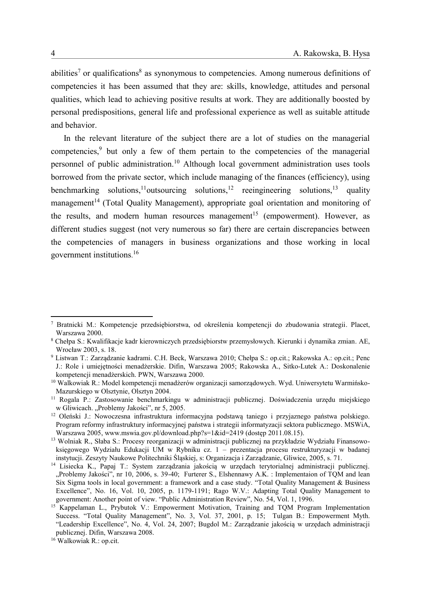abilities<sup>7</sup> or qualifications<sup>8</sup> as synonymous to competencies. Among numerous definitions of competencies it has been assumed that they are: skills, knowledge, attitudes and personal qualities, which lead to achieving positive results at work. They are additionally boosted by personal predispositions, general life and professional experience as well as suitable attitude and behavior.

In the relevant literature of the subject there are a lot of studies on the managerial competencies, 9 but only a few of them pertain to the competencies of the managerial personnel of public administration. <sup>10</sup> Although local government administration uses tools borrowed from the private sector, which include managing of the finances (efficiency), using benchmarking solutions,<sup>11</sup>outsourcing solutions,<sup>12</sup> reeingineering solutions, quality management<sup>14</sup> (Total Quality Management), appropriate goal orientation and monitoring of the results, and modern human resources management<sup>15</sup> (empowerment). However, as different studies suggest (not very numerous so far) there are certain discrepancies between the competencies of managers in business organizations and those working in local government institutions. 16

<u>.</u>

<sup>7</sup> Bratnicki M.: Kompetencje przedsiębiorstwa, od określenia kompetencji do zbudowania strategii. Placet, Warszawa 2000.

<sup>8</sup> Chełpa S.: Kwalifikacje kadr kierowniczych przedsiębiorstw przemysłowych. Kierunki i dynamika zmian. AE, Wrocław 2003, s. 18.

<sup>9</sup> Listwan T.: Zarządzanie kadrami. C.H. Beck, Warszawa 2010; Chełpa S.: op.cit.; Rakowska A.: op.cit.; Penc J.: Role i umiejętności menadżerskie. Difin, Warszawa 2005; Rakowska A., Sitko-Lutek A.: Doskonalenie kompetencji menadżerskich. PWN, Warszawa 2000.

<sup>&</sup>lt;sup>10</sup> Walkowiak R.: Model kompetencji menadżerów organizacji samorządowych. Wyd. Uniwersytetu Warmińsko-Mazurskiego w Olsztynie, Olsztyn 2004.

<sup>11</sup> Rogala P.: Zastosowanie benchmarkingu w administracji publicznej. Doświadczenia urzędu miejskiego w Gliwicach. "Problemy Jakości", nr 5, 2005.

<sup>12</sup> Oleński J.: Nowoczesna infrastruktura informacyjna podstawą taniego i przyjaznego państwa polskiego. Program reformy infrastruktury informacyjnej państwa i strategii informatyzacji sektora publicznego. MSWiA, Warszawa 2005, www.mswia.gov.pl/download.php?s=1&id=2419 (dostęp 2011.08.15).

<sup>13</sup> Wolniak R., Słaba S.: Procesy reorganizacji w administracji publicznej na przykładzie Wydziału Finansowoksięgowego Wydziału Edukacji UM w Rybniku cz. 1 – prezentacja procesu restrukturyzacji w badanej instytucji. Zeszyty Naukowe Politechniki Śląskiej, s: Organizacja i Zarządzanie, Gliwice, 2005, s. 71.

<sup>14</sup> Lisiecka K., Papaj T.: System zarządzania jakością w urzędach terytorialnej administracji publicznej. "Problemy Jakości", nr 10, 2006, s. 39-40; Furterer S., Elshennawy A.K. : Implementaion of TQM and lean Six Sigma tools in local government: a framework and a case study. "Total Quality Management & Business Excellence", No. 16, Vol. 10, 2005, p. 1179-1191; Rago W.V.: Adapting Total Quality Management to government: Another point of view. "Public Administration Review", No. 54, Vol. 1, 1996.

<sup>&</sup>lt;sup>15</sup> Kappelaman L., Prybutok V.: Empowerment Motivation, Training and TQM Program Implementation Success. "Total Quality Management", No. 3, Vol. 37, 2001, p. 15; Tulgan B.: Empowerment Myth. "Leadership Excellence", No. 4, Vol. 24, 2007; Bugdol M.: Zarządzanie jakością w urzędach administracji publicznej. Difin, Warszawa 2008.

<sup>16</sup> Walkowiak R.: op.cit.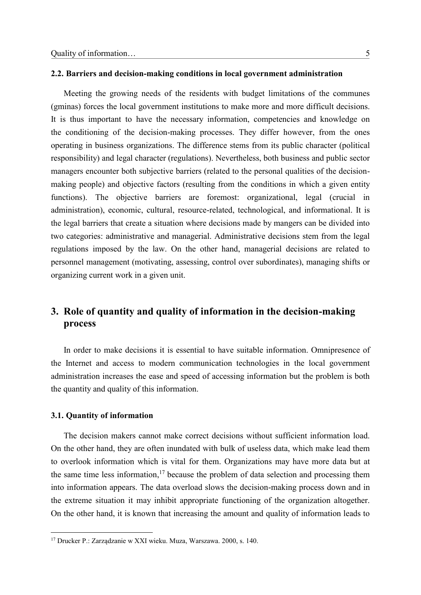#### **2.2. Barriers and decision-making conditions in local government administration**

Meeting the growing needs of the residents with budget limitations of the communes (gminas) forces the local government institutions to make more and more difficult decisions. It is thus important to have the necessary information, competencies and knowledge on the conditioning of the decision-making processes. They differ however, from the ones operating in business organizations. The difference stems from its public character (political responsibility) and legal character (regulations). Nevertheless, both business and public sector managers encounter both subjective barriers (related to the personal qualities of the decisionmaking people) and objective factors (resulting from the conditions in which a given entity functions). The objective barriers are foremost: organizational, legal (crucial in administration), economic, cultural, resource-related, technological, and informational. It is the legal barriers that create a situation where decisions made by mangers can be divided into two categories: administrative and managerial. Administrative decisions stem from the legal regulations imposed by the law. On the other hand, managerial decisions are related to personnel management (motivating, assessing, control over subordinates), managing shifts or organizing current work in a given unit.

## **3. Role of quantity and quality of information in the decision-making process**

In order to make decisions it is essential to have suitable information. Omnipresence of the Internet and access to modern communication technologies in the local government administration increases the ease and speed of accessing information but the problem is both the quantity and quality of this information.

#### **3.1. Quantity of information**

1

The decision makers cannot make correct decisions without sufficient information load. On the other hand, they are often inundated with bulk of useless data, which make lead them to overlook information which is vital for them. Organizations may have more data but at the same time less information, <sup>17</sup> because the problem of data selection and processing them into information appears. The data overload slows the decision-making process down and in the extreme situation it may inhibit appropriate functioning of the organization altogether. On the other hand, it is known that increasing the amount and quality of information leads to

<sup>17</sup> Drucker P.: Zarządzanie w XXI wieku. Muza, Warszawa. 2000, s. 140.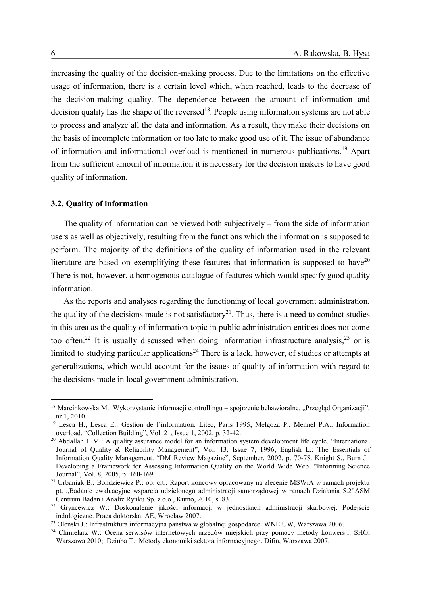increasing the quality of the decision-making process. Due to the limitations on the effective usage of information, there is a certain level which, when reached, leads to the decrease of the decision-making quality. The dependence between the amount of information and decision quality has the shape of the reversed<sup>18</sup>. People using information systems are not able to process and analyze all the data and information. As a result, they make their decisions on the basis of incomplete information or too late to make good use of it. The issue of abundance of information and informational overload is mentioned in numerous publications. <sup>19</sup> Apart from the sufficient amount of information it is necessary for the decision makers to have good quality of information.

#### **3.2. Quality of information**

The quality of information can be viewed both subjectively – from the side of information users as well as objectively, resulting from the functions which the information is supposed to perform. The majority of the definitions of the quality of information used in the relevant literature are based on exemplifying these features that information is supposed to have $20$ There is not, however, a homogenous catalogue of features which would specify good quality information.

As the reports and analyses regarding the functioning of local government administration, the quality of the decisions made is not satisfactory<sup>21</sup>. Thus, there is a need to conduct studies in this area as the quality of information topic in public administration entities does not come too often.<sup>22</sup> It is usually discussed when doing information infrastructure analysis,<sup>23</sup> or is limited to studying particular applications<sup>24</sup> There is a lack, however, of studies or attempts at generalizations, which would account for the issues of quality of information with regard to the decisions made in local government administration.

<u>.</u>

<sup>&</sup>lt;sup>18</sup> Marcinkowska M.: Wykorzystanie informacji controllingu – spojrzenie behawioralne. "Przegląd Organizacji", nr 1, 2010.

<sup>19</sup> Lesca H., Lesca E.: Gestion de l'information. Litec, Paris 1995; Melgoza P., Mennel P.A.: Information overload. "Collection Building", Vol. 21, Issue 1, 2002, p. 32-42.

<sup>&</sup>lt;sup>20</sup> Abdallah H.M.: A quality assurance model for an information system development life cycle. "International Journal of Quality & Reliability Management", Vol. 13, Issue 7, 1996; English L.: The Essentials of Information Quality Management. "DM Review Magazine", September, 2002, p. 70-78. Knight S., Burn J.: Developing a Framework for Assessing Information Quality on the World Wide Web. "Informing Science Journal", Vol. 8, 2005, p. 160-169.

<sup>21</sup> Urbaniak B., Bohdziewicz P.: op. cit., Raport końcowy opracowany na zlecenie MSWiA w ramach projektu pt. "Badanie ewaluacyjne wsparcia udzielonego administracji samorządowej w ramach Działania 5.2"ASM Centrum Badan i Analiz Rynku Sp. z o.o., Kutno, 2010, s. 83.

<sup>22</sup> Gryncewicz W.: Doskonalenie jakości informacji w jednostkach administracji skarbowej. Podejście indologiczne. Praca doktorska, AE, Wrocław 2007.

<sup>23</sup> Oleński J.: Infrastruktura informacyjna państwa w globalnej gospodarce. WNE UW, Warszawa 2006.

<sup>24</sup> Chmielarz W.: Ocena serwisów internetowych urzędów miejskich przy pomocy metody konwersji. SHG, Warszawa 2010; Dziuba T.: Metody ekonomiki sektora informacyjnego. Difin, Warszawa 2007.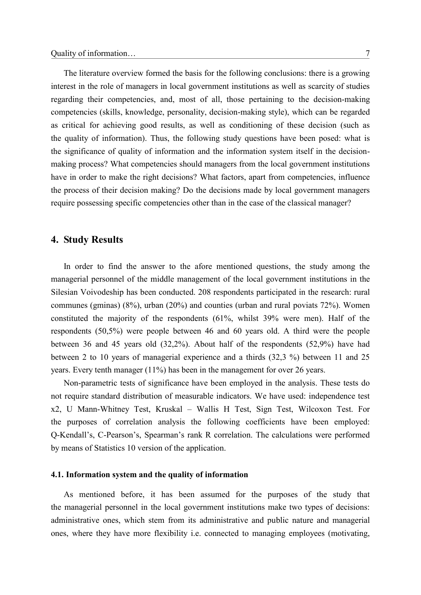The literature overview formed the basis for the following conclusions: there is a growing interest in the role of managers in local government institutions as well as scarcity of studies regarding their competencies, and, most of all, those pertaining to the decision-making competencies (skills, knowledge, personality, decision-making style), which can be regarded as critical for achieving good results, as well as conditioning of these decision (such as the quality of information). Thus, the following study questions have been posed: what is the significance of quality of information and the information system itself in the decisionmaking process? What competencies should managers from the local government institutions have in order to make the right decisions? What factors, apart from competencies, influence the process of their decision making? Do the decisions made by local government managers require possessing specific competencies other than in the case of the classical manager?

### **4. Study Results**

In order to find the answer to the afore mentioned questions, the study among the managerial personnel of the middle management of the local government institutions in the Silesian Voivodeship has been conducted. 208 respondents participated in the research: rural communes (gminas) (8%), urban (20%) and counties (urban and rural poviats 72%). Women constituted the majority of the respondents (61%, whilst 39% were men). Half of the respondents (50,5%) were people between 46 and 60 years old. A third were the people between 36 and 45 years old (32,2%). About half of the respondents (52,9%) have had between 2 to 10 years of managerial experience and a thirds (32,3 %) between 11 and 25 years. Every tenth manager (11%) has been in the management for over 26 years.

Non-parametric tests of significance have been employed in the analysis. These tests do not require standard distribution of measurable indicators. We have used: independence test x2, U Mann-Whitney Test, Kruskal – Wallis H Test, Sign Test, Wilcoxon Test. For the purposes of correlation analysis the following coefficients have been employed: Q-Kendall's, C-Pearson's, Spearman's rank R correlation. The calculations were performed by means of Statistics 10 version of the application.

#### **4.1. Information system and the quality of information**

As mentioned before, it has been assumed for the purposes of the study that the managerial personnel in the local government institutions make two types of decisions: administrative ones, which stem from its administrative and public nature and managerial ones, where they have more flexibility i.e. connected to managing employees (motivating,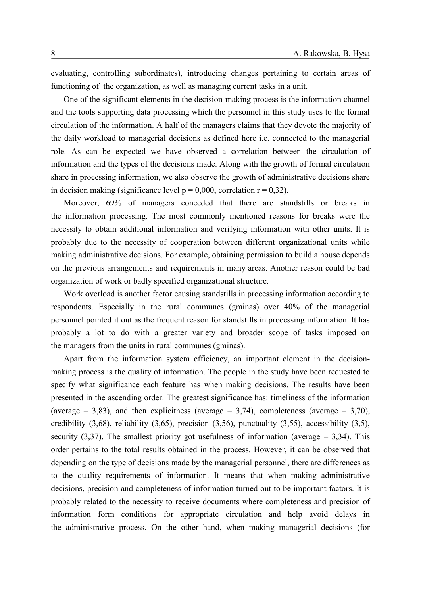evaluating, controlling subordinates), introducing changes pertaining to certain areas of functioning of the organization, as well as managing current tasks in a unit.

One of the significant elements in the decision-making process is the information channel and the tools supporting data processing which the personnel in this study uses to the formal circulation of the information. A half of the managers claims that they devote the majority of the daily workload to managerial decisions as defined here i.e. connected to the managerial role. As can be expected we have observed a correlation between the circulation of information and the types of the decisions made. Along with the growth of formal circulation share in processing information, we also observe the growth of administrative decisions share in decision making (significance level  $p = 0,000$ , correlation  $r = 0,32$ ).

Moreover, 69% of managers conceded that there are standstills or breaks in the information processing. The most commonly mentioned reasons for breaks were the necessity to obtain additional information and verifying information with other units. It is probably due to the necessity of cooperation between different organizational units while making administrative decisions. For example, obtaining permission to build a house depends on the previous arrangements and requirements in many areas. Another reason could be bad organization of work or badly specified organizational structure.

Work overload is another factor causing standstills in processing information according to respondents. Especially in the rural communes (gminas) over 40% of the managerial personnel pointed it out as the frequent reason for standstills in processing information. It has probably a lot to do with a greater variety and broader scope of tasks imposed on the managers from the units in rural communes (gminas).

Apart from the information system efficiency, an important element in the decisionmaking process is the quality of information. The people in the study have been requested to specify what significance each feature has when making decisions. The results have been presented in the ascending order. The greatest significance has: timeliness of the information (average  $-3,83$ ), and then explicitness (average  $-3,74$ ), completeness (average  $-3,70$ ), credibility (3,68), reliability (3,65), precision (3,56), punctuality (3,55), accessibility (3,5), security  $(3,37)$ . The smallest priority got usefulness of information (average  $-3,34$ ). This order pertains to the total results obtained in the process. However, it can be observed that depending on the type of decisions made by the managerial personnel, there are differences as to the quality requirements of information. It means that when making administrative decisions, precision and completeness of information turned out to be important factors. It is probably related to the necessity to receive documents where completeness and precision of information form conditions for appropriate circulation and help avoid delays in the administrative process. On the other hand, when making managerial decisions (for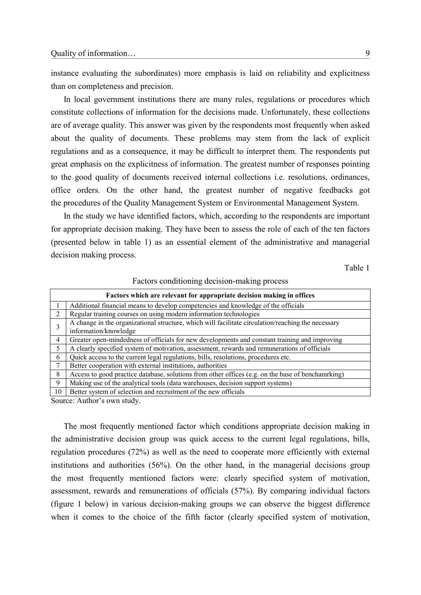instance evaluating the subordinates) more emphasis is laid on reliability and explicitness than on completeness and precision.

In local government institutions there are many rules, regulations or procedures which constitute collections of information for the decisions made. Unfortunately, these collections are of average quality. This answer was given by the respondents most frequently when asked about the quality of documents. These problems may stem from the lack of explicit regulations and as a consequence, it may be difficult to interpret them. The respondents put great emphasis on the explicitness of information. The greatest number of responses pointing to the good quality of documents received internal collections i.e. resolutions, ordinances, office orders. On the other hand, the greatest number of negative feedbacks got the procedures of the Quality Management System or Environmental Management System.

In the study we have identified factors, which, according to the respondents are important for appropriate decision making. They have been to assess the role of each of the ten factors (presented below in table 1) as an essential element of the administrative and managerial decision making process.

Table 1

| I actors conditioning accision making process                         |                                                                                                    |  |
|-----------------------------------------------------------------------|----------------------------------------------------------------------------------------------------|--|
| Factors which are relevant for appropriate decision making in offices |                                                                                                    |  |
|                                                                       | Additional financial means to develop competencies and knowledge of the officials                  |  |
| 2                                                                     | Regular training courses on using modern information technologies                                  |  |
| 3                                                                     | A change in the organizational structure, which will facilitate circulation/reaching the necessary |  |
|                                                                       | information/knowledge                                                                              |  |
| $\overline{4}$                                                        | Greater open-mindedness of officials for new developments and constant training and improving      |  |
| 5                                                                     | A clearly specified system of motivation, assessment, rewards and remunerations of officials       |  |
| 6                                                                     | Quick access to the current legal regulations, bills, resolutions, procedures etc.                 |  |
| $7\phantom{.0}$                                                       | Better cooperation with external institutions, authorities                                         |  |
| 8                                                                     | Access to good practice database, solutions from other offices (e.g. on the base of benchamrking)  |  |
| 9                                                                     | Making use of the analytical tools (data warehouses, decision support systems)                     |  |
| 10                                                                    | Better system of selection and recruitment of the new officials                                    |  |

Factors conditioning decision-making process

Source: Author's own study.

The most frequently mentioned factor which conditions appropriate decision making in the administrative decision group was quick access to the current legal regulations, bills, regulation procedures (72%) as well as the need to cooperate more efficiently with external institutions and authorities (56%). On the other hand, in the managerial decisions group the most frequently mentioned factors were: clearly specified system of motivation, assessment, rewards and remunerations of officials (57%). By comparing individual factors (figure 1 below) in various decision-making groups we can observe the biggest difference when it comes to the choice of the fifth factor (clearly specified system of motivation,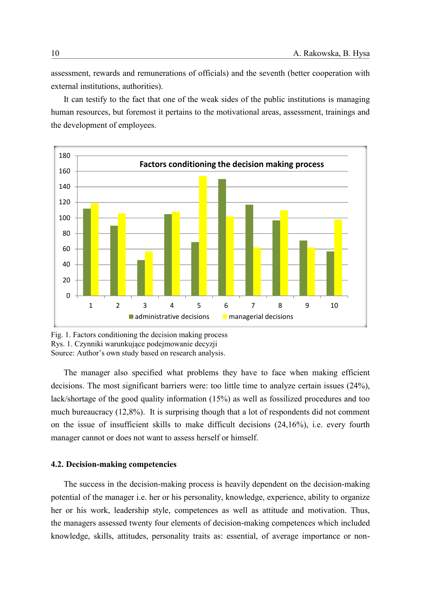assessment, rewards and remunerations of officials) and the seventh (better cooperation with external institutions, authorities).

It can testify to the fact that one of the weak sides of the public institutions is managing human resources, but foremost it pertains to the motivational areas, assessment, trainings and the development of employees.



Fig. 1. Factors conditioning the decision making process Rys. 1. Czynniki warunkujące podejmowanie decyzji Source: Author's own study based on research analysis.

The manager also specified what problems they have to face when making efficient decisions. The most significant barriers were: too little time to analyze certain issues (24%), lack/shortage of the good quality information (15%) as well as fossilized procedures and too much bureaucracy (12,8%). It is surprising though that a lot of respondents did not comment on the issue of insufficient skills to make difficult decisions (24,16%), i.e. every fourth manager cannot or does not want to assess herself or himself.

#### **4.2. Decision-making competencies**

The success in the decision-making process is heavily dependent on the decision-making potential of the manager i.e. her or his personality, knowledge, experience, ability to organize her or his work, leadership style, competences as well as attitude and motivation. Thus, the managers assessed twenty four elements of decision-making competences which included knowledge, skills, attitudes, personality traits as: essential, of average importance or non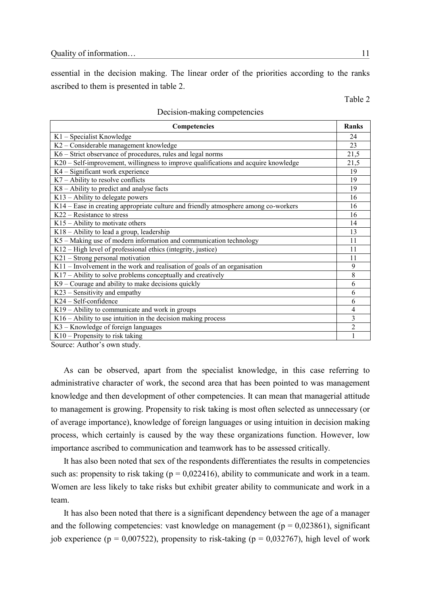essential in the decision making. The linear order of the priorities according to the ranks ascribed to them is presented in table 2.

Table 2

| Competencies                                                                        | Ranks          |
|-------------------------------------------------------------------------------------|----------------|
| K1 - Specialist Knowledge                                                           | 24             |
| K2 - Considerable management knowledge                                              | 23             |
| K6 – Strict observance of procedures, rules and legal norms                         | 21,5           |
| K20 – Self-improvement, willingness to improve qualifications and acquire knowledge | 21,5           |
| K4 – Significant work experience                                                    | 19             |
| $K7$ – Ability to resolve conflicts                                                 | 19             |
| K8 – Ability to predict and analyse facts                                           | 19             |
| $K13$ – Ability to delegate powers                                                  | 16             |
| K14 – Ease in creating appropriate culture and friendly atmosphere among co-workers | 16             |
| $K22 - Resistance$ to stress                                                        | 16             |
| $K15$ – Ability to motivate others                                                  | 14             |
| K18 - Ability to lead a group, leadership                                           | 13             |
| K5 - Making use of modern information and communication technology                  | 11             |
| K12 – High level of professional ethics (integrity, justice)                        | 11             |
| K21 - Strong personal motivation                                                    | 11             |
| $K11$ – Involvement in the work and realisation of goals of an organisation         | 9              |
| K17 – Ability to solve problems conceptually and creatively                         | 8              |
| K9 – Courage and ability to make decisions quickly                                  | 6              |
| K23 – Sensitivity and empathy                                                       | 6              |
| $K24 - Self$ -confidence                                                            | 6              |
| $K19$ – Ability to communicate and work in groups                                   | 4              |
| $K16 -$ Ability to use intuition in the decision making process                     | 3              |
| K3 - Knowledge of foreign languages                                                 | $\overline{2}$ |
| K10 - Propensity to risk taking                                                     |                |

#### Decision-making competencies

Source: Author's own study.

As can be observed, apart from the specialist knowledge, in this case referring to administrative character of work, the second area that has been pointed to was management knowledge and then development of other competencies. It can mean that managerial attitude to management is growing. Propensity to risk taking is most often selected as unnecessary (or of average importance), knowledge of foreign languages or using intuition in decision making process, which certainly is caused by the way these organizations function. However, low importance ascribed to communication and teamwork has to be assessed critically.

It has also been noted that sex of the respondents differentiates the results in competencies such as: propensity to risk taking ( $p = 0.022416$ ), ability to communicate and work in a team. Women are less likely to take risks but exhibit greater ability to communicate and work in a team.

It has also been noted that there is a significant dependency between the age of a manager and the following competencies: vast knowledge on management ( $p = 0.023861$ ), significant job experience ( $p = 0.007522$ ), propensity to risk-taking ( $p = 0.032767$ ), high level of work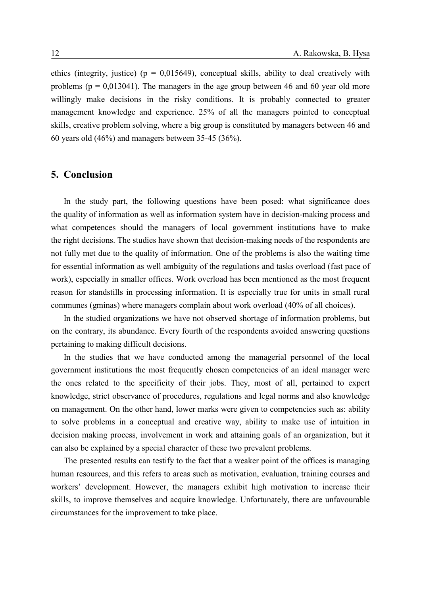ethics (integrity, justice) ( $p = 0.015649$ ), conceptual skills, ability to deal creatively with problems ( $p = 0.013041$ ). The managers in the age group between 46 and 60 year old more willingly make decisions in the risky conditions. It is probably connected to greater management knowledge and experience. 25% of all the managers pointed to conceptual skills, creative problem solving, where a big group is constituted by managers between 46 and 60 years old (46%) and managers between 35-45 (36%).

## **5. Conclusion**

In the study part, the following questions have been posed: what significance does the quality of information as well as information system have in decision-making process and what competences should the managers of local government institutions have to make the right decisions. The studies have shown that decision-making needs of the respondents are not fully met due to the quality of information. One of the problems is also the waiting time for essential information as well ambiguity of the regulations and tasks overload (fast pace of work), especially in smaller offices. Work overload has been mentioned as the most frequent reason for standstills in processing information. It is especially true for units in small rural communes (gminas) where managers complain about work overload (40% of all choices).

In the studied organizations we have not observed shortage of information problems, but on the contrary, its abundance. Every fourth of the respondents avoided answering questions pertaining to making difficult decisions.

In the studies that we have conducted among the managerial personnel of the local government institutions the most frequently chosen competencies of an ideal manager were the ones related to the specificity of their jobs. They, most of all, pertained to expert knowledge, strict observance of procedures, regulations and legal norms and also knowledge on management. On the other hand, lower marks were given to competencies such as: ability to solve problems in a conceptual and creative way, ability to make use of intuition in decision making process, involvement in work and attaining goals of an organization, but it can also be explained by a special character of these two prevalent problems.

The presented results can testify to the fact that a weaker point of the offices is managing human resources, and this refers to areas such as motivation, evaluation, training courses and workers' development. However, the managers exhibit high motivation to increase their skills, to improve themselves and acquire knowledge. Unfortunately, there are unfavourable circumstances for the improvement to take place.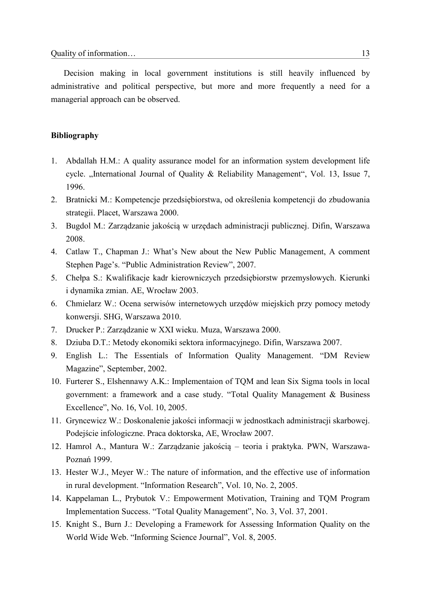Decision making in local government institutions is still heavily influenced by administrative and political perspective, but more and more frequently a need for a managerial approach can be observed.

### **Bibliography**

- 1. Abdallah H.M.: A quality assurance model for an information system development life cycle. "International Journal of Quality & Reliability Management", Vol. 13, Issue 7, 1996.
- 2. Bratnicki M.: Kompetencje przedsiębiorstwa, od określenia kompetencji do zbudowania strategii. Placet, Warszawa 2000.
- 3. Bugdol M.: Zarządzanie jakością w urzędach administracji publicznej. Difin, Warszawa 2008.
- 4. Catlaw T., Chapman J.: What's New about the New Public Management, A comment Stephen Page's. "Public Administration Review", 2007.
- 5. Chełpa S.: Kwalifikacje kadr kierowniczych przedsiębiorstw przemysłowych. Kierunki i dynamika zmian. AE, Wrocław 2003.
- 6. Chmielarz W.: Ocena serwisów internetowych urzędów miejskich przy pomocy metody konwersji. SHG, Warszawa 2010.
- 7. Drucker P.: Zarządzanie w XXI wieku. Muza, Warszawa 2000.
- 8. Dziuba D.T.: Metody ekonomiki sektora informacyjnego. Difin, Warszawa 2007.
- 9. English L.: The Essentials of Information Quality Management. "DM Review Magazine", September, 2002.
- 10. Furterer S., Elshennawy A.K.: Implementaion of TQM and lean Six Sigma tools in local government: a framework and a case study. "Total Quality Management & Business Excellence", No. 16, Vol. 10, 2005.
- 11. Gryncewicz W.: Doskonalenie jakości informacji w jednostkach administracji skarbowej. Podejście infologiczne. Praca doktorska, AE, Wrocław 2007.
- 12. Hamrol A., Mantura W.: Zarządzanie jakością teoria i praktyka. PWN, Warszawa-Poznań 1999.
- 13. Hester W.J., Meyer W.: The nature of information, and the effective use of information in rural development. "Information Research", Vol. 10, No. 2, 2005.
- 14. Kappelaman L., Prybutok V.: Empowerment Motivation, Training and TQM Program Implementation Success. "Total Quality Management", No. 3, Vol. 37, 2001.
- 15. Knight S., Burn J.: Developing a Framework for Assessing Information Quality on the World Wide Web. "Informing Science Journal", Vol. 8, 2005.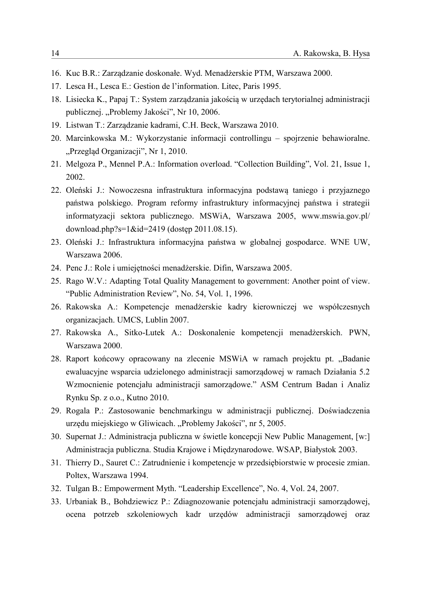- 16. Kuc B.R.: Zarządzanie doskonałe. Wyd. Menadżerskie PTM, Warszawa 2000.
- 17. Lesca H., Lesca E.: Gestion de l'information. Litec, Paris 1995.
- 18. Lisiecka K., Papaj T.: System zarządzania jakością w urzędach terytorialnej administracji publicznej. "Problemy Jakości", Nr 10, 2006.
- 19. Listwan T.: Zarządzanie kadrami, C.H. Beck, Warszawa 2010.
- 20. Marcinkowska M.: Wykorzystanie informacji controllingu spojrzenie behawioralne. "Przegląd Organizacji", Nr 1, 2010.
- 21. Melgoza P., Mennel P.A.: Information overload. "Collection Building", Vol. 21, Issue 1, 2002.
- 22. Oleński J.: Nowoczesna infrastruktura informacyjna podstawą taniego i przyjaznego państwa polskiego. Program reformy infrastruktury informacyjnej państwa i strategii informatyzacji sektora publicznego. MSWiA, Warszawa 2005, www.mswia.gov.pl/ download.php?s=1&id=2419 (dostęp 2011.08.15).
- 23. Oleński J.: Infrastruktura informacyjna państwa w globalnej gospodarce. WNE UW, Warszawa 2006.
- 24. Penc J.: Role i umiejętności menadżerskie. Difin, Warszawa 2005.
- 25. Rago W.V.: Adapting Total Quality Management to government: Another point of view. "Public Administration Review", No. 54, Vol. 1, 1996.
- 26. Rakowska A.: Kompetencje menadżerskie kadry kierowniczej we współczesnych organizacjach. UMCS, Lublin 2007.
- 27. Rakowska A., Sitko-Lutek A.: Doskonalenie kompetencji menadżerskich. PWN, Warszawa 2000.
- 28. Raport końcowy opracowany na zlecenie MSWiA w ramach projektu pt. "Badanie ewaluacyjne wsparcia udzielonego administracji samorządowej w ramach Działania 5.2 Wzmocnienie potencjału administracji samorządowe." ASM Centrum Badan i Analiz Rynku Sp. z o.o., Kutno 2010.
- 29. Rogala P.: Zastosowanie benchmarkingu w administracji publicznej. Doświadczenia urzędu miejskiego w Gliwicach. "Problemy Jakości", nr 5, 2005.
- 30. Supernat J.: Administracja publiczna w świetle koncepcji New Public Management, [w:] Administracja publiczna. Studia Krajowe i Międzynarodowe. WSAP, Białystok 2003.
- 31. Thierry D., Sauret C.: Zatrudnienie i kompetencje w przedsiębiorstwie w procesie zmian. Poltex, Warszawa 1994.
- 32. Tulgan B.: Empowerment Myth. "Leadership Excellence", No. 4, Vol. 24, 2007.
- 33. Urbaniak B., Bohdziewicz P.: Zdiagnozowanie potencjału administracji samorządowej, ocena potrzeb szkoleniowych kadr urzędów administracji samorządowej oraz